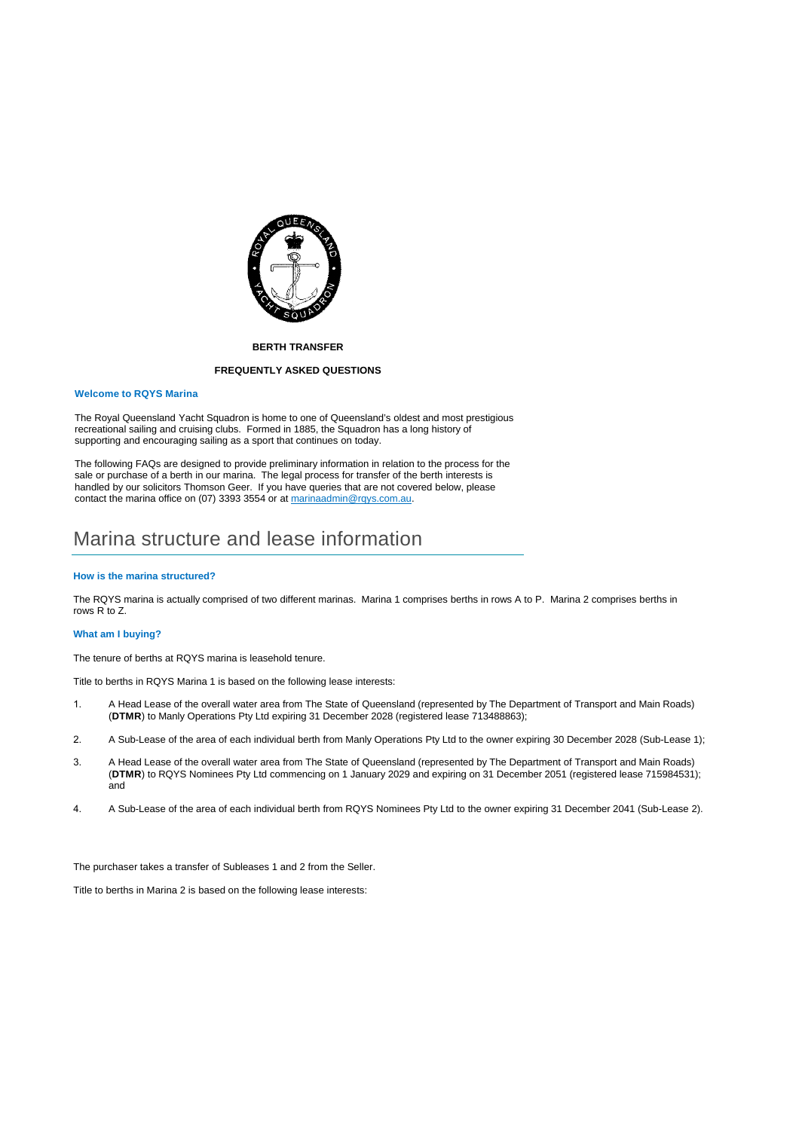

### **BERTH TRANSFER**

#### **FREQUENTLY ASKED QUESTIONS**

#### **Welcome to RQYS Marina**

The Royal Queensland Yacht Squadron is home to one of Queensland's oldest and most prestigious recreational sailing and cruising clubs. Formed in 1885, the Squadron has a long history of supporting and encouraging sailing as a sport that continues on today.

The following FAQs are designed to provide preliminary information in relation to the process for the sale or purchase of a berth in our marina. The legal process for transfer of the berth interests is handled by our solicitors Thomson Geer. If you have queries that are not covered below, please contact the marina office on (07) 3393 3554 or at marinaadmin@rqys.com.au.

## Marina structure and lease information

#### **How is the marina structured?**

The RQYS marina is actually comprised of two different marinas. Marina 1 comprises berths in rows A to P. Marina 2 comprises berths in rows R to Z.

#### **What am I buying?**

The tenure of berths at RQYS marina is leasehold tenure.

Title to berths in RQYS Marina 1 is based on the following lease interests:

- 1. A Head Lease of the overall water area from The State of Queensland (represented by The Department of Transport and Main Roads) (**DTMR**) to Manly Operations Pty Ltd expiring 31 December 2028 (registered lease 713488863);
- 2. A Sub-Lease of the area of each individual berth from Manly Operations Pty Ltd to the owner expiring 30 December 2028 (Sub-Lease 1);
- 3. A Head Lease of the overall water area from The State of Queensland (represented by The Department of Transport and Main Roads) (**DTMR**) to RQYS Nominees Pty Ltd commencing on 1 January 2029 and expiring on 31 December 2051 (registered lease 715984531); and
- 4. A Sub-Lease of the area of each individual berth from RQYS Nominees Pty Ltd to the owner expiring 31 December 2041 (Sub-Lease 2).

The purchaser takes a transfer of Subleases 1 and 2 from the Seller.

Title to berths in Marina 2 is based on the following lease interests: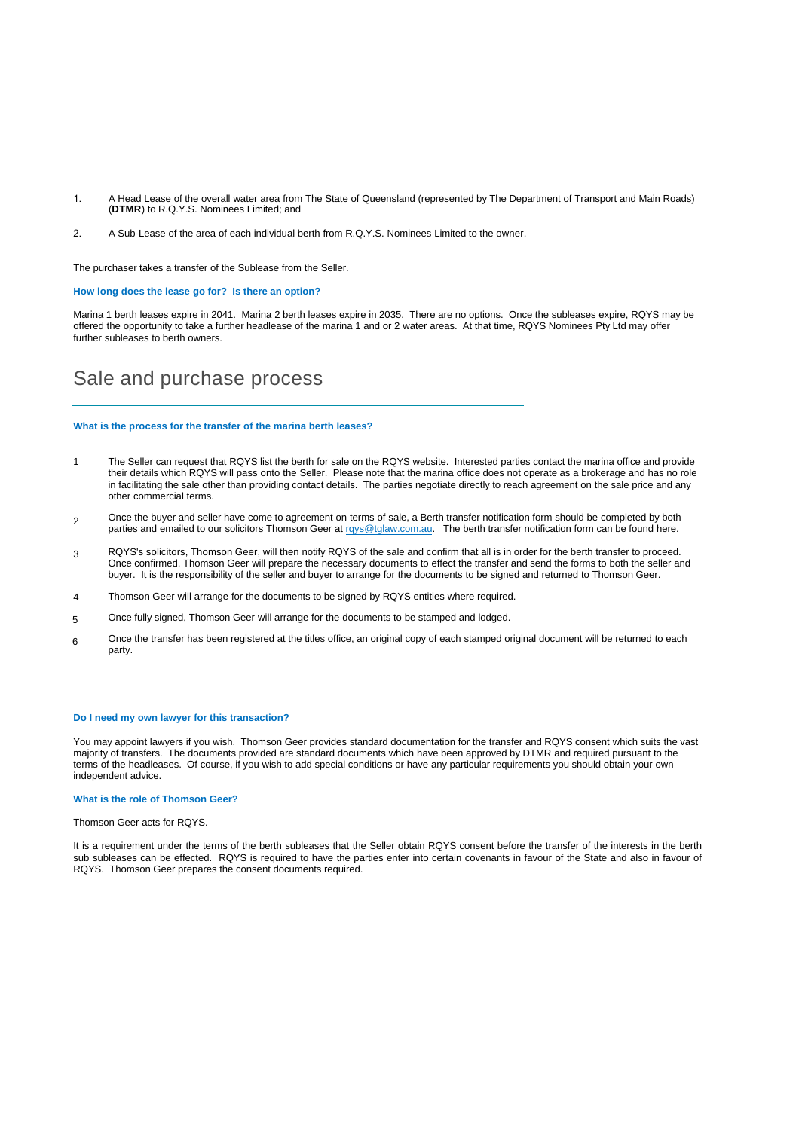- 1. A Head Lease of the overall water area from The State of Queensland (represented by The Department of Transport and Main Roads) (**DTMR**) to R.Q.Y.S. Nominees Limited; and
- 2. A Sub-Lease of the area of each individual berth from R.Q.Y.S. Nominees Limited to the owner.

The purchaser takes a transfer of the Sublease from the Seller.

**How long does the lease go for? Is there an option?** 

Marina 1 berth leases expire in 2041. Marina 2 berth leases expire in 2035. There are no options. Once the subleases expire, RQYS may be offered the opportunity to take a further headlease of the marina 1 and or 2 water areas. At that time, RQYS Nominees Pty Ltd may offer further subleases to berth owners.

## Sale and purchase process

#### **What is the process for the transfer of the marina berth leases?**

- 1 The Seller can request that RQYS list the berth for sale on the RQYS website. Interested parties contact the marina office and provide their details which RQYS will pass onto the Seller. Please note that the marina office does not operate as a brokerage and has no role in facilitating the sale other than providing contact details. The parties negotiate directly to reach agreement on the sale price and any other commercial terms.
- 2 Once the buyer and seller have come to agreement on terms of sale, a Berth transfer notification form should be completed by both parties and emailed to our solicitors Thomson Geer at rqys@tglaw.com.au. The berth transfer notification form can be found [here.](https://www.rqys.com.au/wp-content/uploads/2022/01/NOTICE-OF-PROPOSED-BERTH-TRANSFER-77409757v1-002.pdf)
- 3 RQYS's solicitors, Thomson Geer, will then notify RQYS of the sale and confirm that all is in order for the berth transfer to proceed. Once confirmed, Thomson Geer will prepare the necessary documents to effect the transfer and send the forms to both the seller and buyer. It is the responsibility of the seller and buyer to arrange for the documents to be signed and returned to Thomson Geer.
- 4 Thomson Geer will arrange for the documents to be signed by RQYS entities where required.
- 5 Once fully signed, Thomson Geer will arrange for the documents to be stamped and lodged.
- 6 Once the transfer has been registered at the titles office, an original copy of each stamped original document will be returned to each party.

## **Do I need my own lawyer for this transaction?**

You may appoint lawyers if you wish. Thomson Geer provides standard documentation for the transfer and RQYS consent which suits the vast majority of transfers. The documents provided are standard documents which have been approved by DTMR and required pursuant to the terms of the headleases. Of course, if you wish to add special conditions or have any particular requirements you should obtain your own independent advice.

### **What is the role of Thomson Geer?**

Thomson Geer acts for RQYS.

It is a requirement under the terms of the berth subleases that the Seller obtain RQYS consent before the transfer of the interests in the berth sub subleases can be effected. RQYS is required to have the parties enter into certain covenants in favour of the State and also in favour of RQYS. Thomson Geer prepares the consent documents required.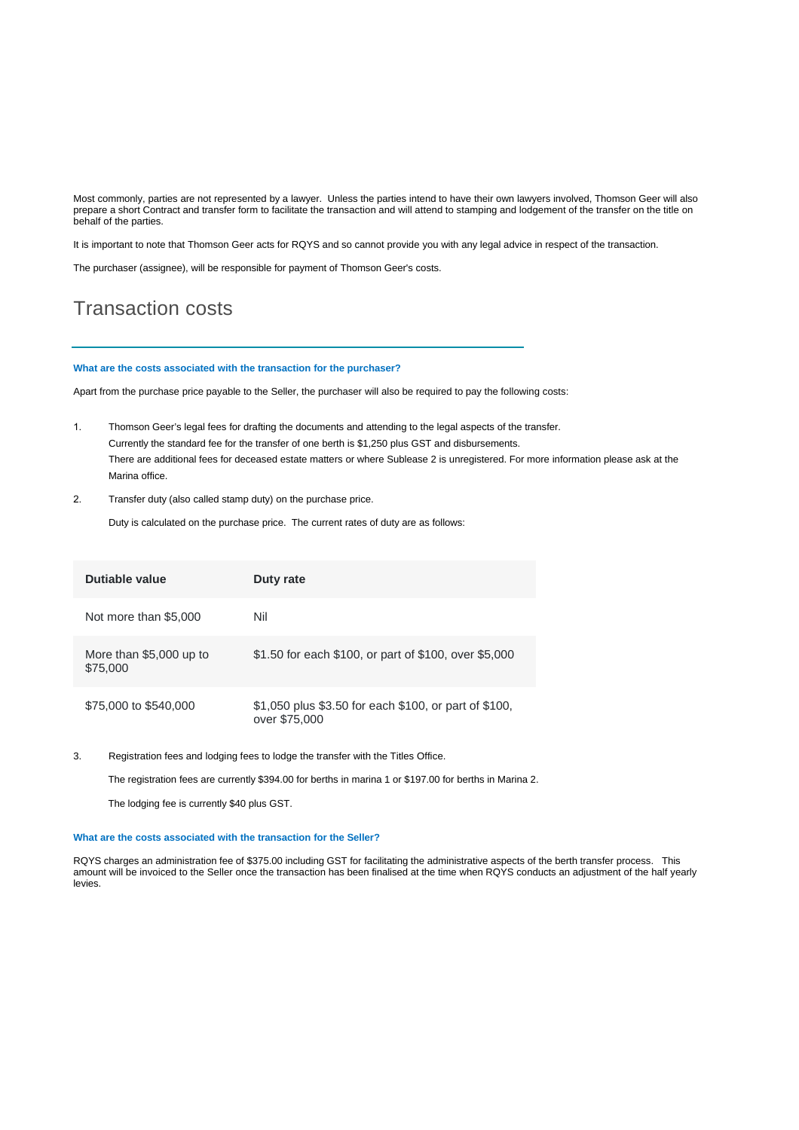Most commonly, parties are not represented by a lawyer. Unless the parties intend to have their own lawyers involved, Thomson Geer will also prepare a short Contract and transfer form to facilitate the transaction and will attend to stamping and lodgement of the transfer on the title on behalf of the parties.

It is important to note that Thomson Geer acts for RQYS and so cannot provide you with any legal advice in respect of the transaction.

The purchaser (assignee), will be responsible for payment of Thomson Geer's costs.

# Transaction costs

#### **What are the costs associated with the transaction for the purchaser?**

Apart from the purchase price payable to the Seller, the purchaser will also be required to pay the following costs:

- 1. Thomson Geer's legal fees for drafting the documents and attending to the legal aspects of the transfer. Currently the standard fee for the transfer of one berth is \$1,250 plus GST and disbursements. There are additional fees for deceased estate matters or where Sublease 2 is unregistered. For more information please ask at the Marina office.
- 2. Transfer duty (also called stamp duty) on the purchase price.

Duty is calculated on the purchase price. The current rates of duty are as follows:

| Dutiable value                      | Duty rate                                                              |
|-------------------------------------|------------------------------------------------------------------------|
| Not more than \$5,000               | Nil                                                                    |
| More than \$5,000 up to<br>\$75,000 | \$1.50 for each \$100, or part of \$100, over \$5,000                  |
| \$75,000 to \$540,000               | \$1,050 plus \$3.50 for each \$100, or part of \$100,<br>over \$75,000 |

3. Registration fees and lodging fees to lodge the transfer with the Titles Office.

The registration fees are currently \$394.00 for berths in marina 1 or \$197.00 for berths in Marina 2.

The lodging fee is currently \$40 plus GST.

#### **What are the costs associated with the transaction for the Seller?**

RQYS charges an administration fee of \$375.00 including GST for facilitating the administrative aspects of the berth transfer process. This amount will be invoiced to the Seller once the transaction has been finalised at the time when RQYS conducts an adjustment of the half yearly levies.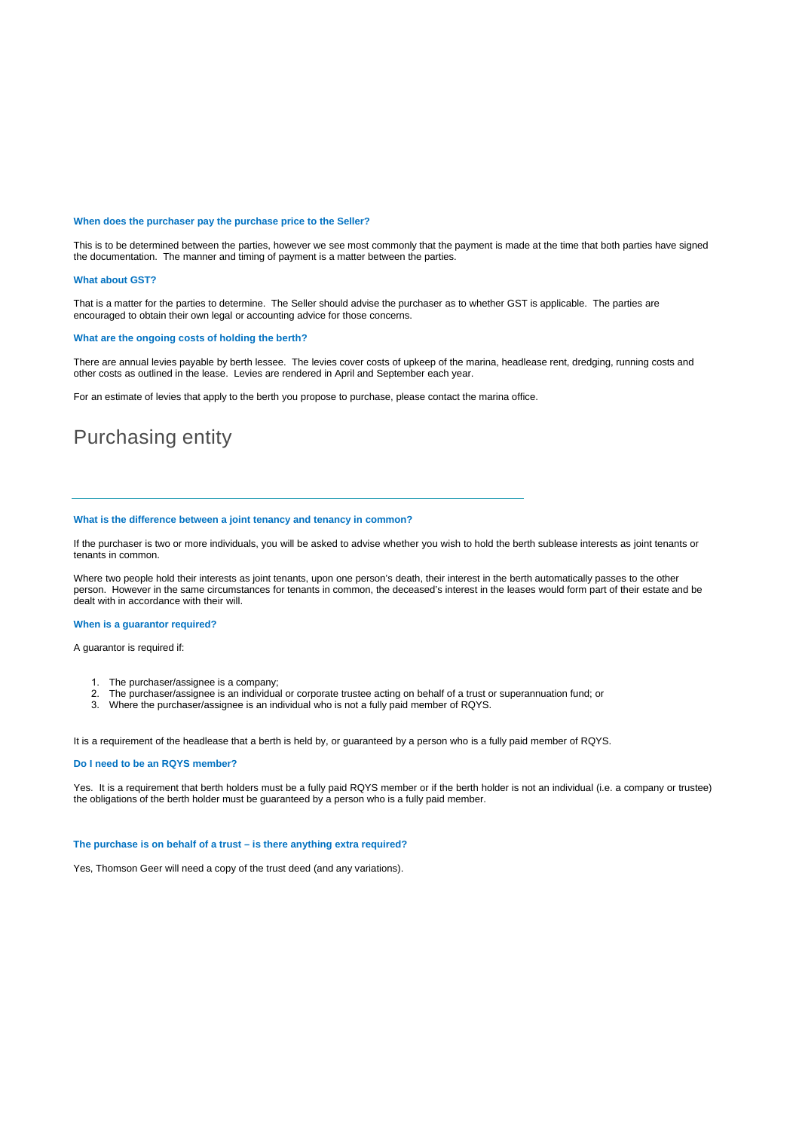#### **When does the purchaser pay the purchase price to the Seller?**

This is to be determined between the parties, however we see most commonly that the payment is made at the time that both parties have signed the documentation. The manner and timing of payment is a matter between the parties.

#### **What about GST?**

That is a matter for the parties to determine. The Seller should advise the purchaser as to whether GST is applicable. The parties are encouraged to obtain their own legal or accounting advice for those concerns.

#### **What are the ongoing costs of holding the berth?**

There are annual levies payable by berth lessee. The levies cover costs of upkeep of the marina, headlease rent, dredging, running costs and other costs as outlined in the lease. Levies are rendered in April and September each year.

For an estimate of levies that apply to the berth you propose to purchase, please contact the marina office.

# Purchasing entity

## **What is the difference between a joint tenancy and tenancy in common?**

If the purchaser is two or more individuals, you will be asked to advise whether you wish to hold the berth sublease interests as joint tenants or tenants in common.

Where two people hold their interests as joint tenants, upon one person's death, their interest in the berth automatically passes to the other person. However in the same circumstances for tenants in common, the deceased's interest in the leases would form part of their estate and be dealt with in accordance with their will.

#### **When is a guarantor required?**

A guarantor is required if:

- 1. The purchaser/assignee is a company;
- 2. The purchaser/assignee is an individual or corporate trustee acting on behalf of a trust or superannuation fund; or Where the purchaser/assignee is an individual who is not a fully paid member of ROYS
- Where the purchaser/assignee is an individual who is not a fully paid member of RQYS.

It is a requirement of the headlease that a berth is held by, or guaranteed by a person who is a fully paid member of RQYS.

#### **Do I need to be an RQYS member?**

Yes. It is a requirement that berth holders must be a fully paid RQYS member or if the berth holder is not an individual (i.e. a company or trustee) the obligations of the berth holder must be guaranteed by a person who is a fully paid member.

## **The purchase is on behalf of a trust – is there anything extra required?**

Yes, Thomson Geer will need a copy of the trust deed (and any variations).